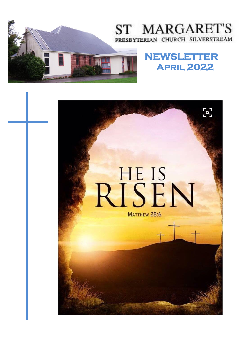

# ST MARGARET'S PRESBYTERIAN CHURCH SILVERSTREAM

# **NEWSLETTER April 2022**

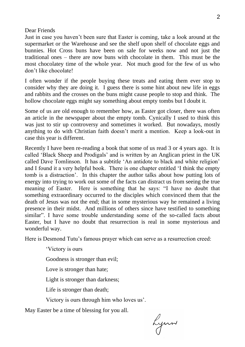#### Dear Friends

Just in case you haven't been sure that Easter is coming, take a look around at the supermarket or the Warehouse and see the shelf upon shelf of chocolate eggs and bunnies. Hot Cross buns have been on sale for weeks now and not just the traditional ones – there are now buns with chocolate in them. This must be the most chocolatey time of the whole year. Not much good for the few of us who don't like chocolate!

I often wonder if the people buying these treats and eating them ever stop to consider why they are doing it. I guess there is some hint about new life in eggs and rabbits and the crosses on the buns might cause people to stop and think. The hollow chocolate eggs might say something about empty tombs but I doubt it.

Some of us are old enough to remember how, as Easter got closer, there was often an article in the newspaper about the empty tomb. Cynically I used to think this was just to stir up controversy and sometimes it worked. But nowadays, mostly anything to do with Christian faith doesn't merit a mention. Keep a look-out in case this year is different.

Recently I have been re-reading a book that some of us read 3 or 4 years ago. It is called 'Black Sheep and Prodigals' and is written by an Anglican priest in the UK called Dave Tomlinson. It has a subtitle 'An antidote to black and white religion' and I found it a very helpful book. There is one chapter entitled 'I think the empty tomb is a distraction'. In this chapter the author talks about how putting lots of energy into trying to work out some of the facts can distract us from seeing the true meaning of Easter. Here is something that he says: "I have no doubt that something extraordinary occurred to the disciples which convinced them that the death of Jesus was not the end; that in some mysterious way he remained a living presence in their midst. And millions of others since have testified to something similar". I have some trouble understanding some of the so-called facts about Easter, but I have no doubt that resurrection is real in some mysterious and wonderful way.

Here is Desmond Tutu's famous prayer which can serve as a resurrection creed:

'Victory is ours Goodness is stronger than evil; Love is stronger than hate; Light is stronger than darkness; Life is stronger than death; Victory is ours through him who loves us'.

May Easter be a time of blessing for you all.

Lynn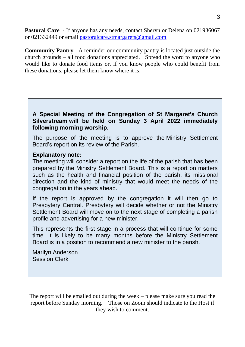**Pastoral Care** - If anyone has any needs, contact Sheryn or Delena on 021936067 or 021332449 or email [pastoralcare.stmargarets@gmail.com](mailto:pastoralcare.stmargarets@gmail.com)

**Community Pantry -** A reminder our community pantry is located just outside the church grounds – all food donations appreciated. Spread the word to anyone who would like to donate food items or, if you know people who could benefit from these donations, please let them know where it is.

**A Special Meeting of the Congregation of St Margaret's Church Silverstream will be held on Sunday 3 April 2022 immediately following morning worship.**

The purpose of the meeting is to approve the Ministry Settlement Board's report on its review of the Parish.

#### **Explanatory note:**

The meeting will consider a report on the life of the parish that has been prepared by the Ministry Settlement Board. This is a report on matters such as the health and financial position of the parish, its missional direction and the kind of ministry that would meet the needs of the congregation in the years ahead.

If the report is approved by the congregation it will then go to Presbytery Central. Presbytery will decide whether or not the Ministry Settlement Board will move on to the next stage of completing a parish profile and advertising for a new minister.

This represents the first stage in a process that will continue for some time. It is likely to be many months before the Ministry Settlement Board is in a position to recommend a new minister to the parish.

Marilyn Anderson Session Clerk

The report will be emailed out during the week – please make sure you read the report before Sunday morning. Those on Zoom should indicate to the Host if they wish to comment.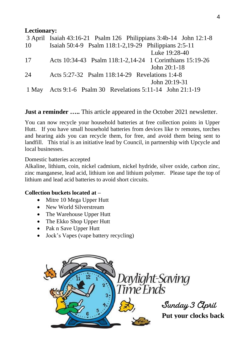#### **Lectionary:**

|       | 3 April Isaiah 43:16-21 Psalm 126 Philippians 3:4b-14 John 12:1-8 |
|-------|-------------------------------------------------------------------|
| 10    | Isaiah 50:4-9 Psalm 118:1-2,19-29 Philippians 2:5-11              |
|       | Luke 19:28-40                                                     |
| 17    | Acts 10:34-43 Psalm 118:1-2,14-24 1 Corinthians 15:19-26          |
|       | John $20:1-18$                                                    |
| 24    | Acts 5:27-32 Psalm 118:14-29 Revelations 1:4-8                    |
|       | John $20:19-31$                                                   |
| 1 May | Acts 9:1-6 Psalm 30 Revelations 5:11-14 John 21:1-19              |

**Just a reminder .....** This article appeared in the October 2021 newsletter.

You can now recycle your household batteries at free collection points in Upper Hutt. If you have small household batteries from devices like tv remotes, torches and hearing aids you can recycle them, for free, and avoid them being sent to landfill. This trial is an initiative lead by Council, in partnership with Upcycle and local businesses.

Domestic batteries accepted

Alkaline, lithium, coin, nickel cadmium, nickel hydride, silver oxide, carbon zinc, zinc manganese, lead acid, lithium ion and lithium polymer. Please tape the top of lithium and lead acid batteries to avoid short circuits.

#### **Collection buckets located at –**

- Mitre 10 Mega Upper Hutt
- New World Silverstream
- The Warehouse Upper Hutt
- The Ekko Shop Upper Hutt
- Pak n Save Upper Hutt
- Jock's Vapes (vape battery recycling)

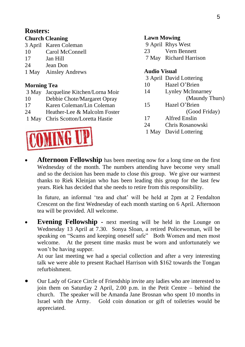### **Rosters:**

#### **Church Cleaning**

|    | 3 April Karen Coleman |
|----|-----------------------|
| 10 | Carol McConnell       |

- 17 **Jan Hill**
- 24 Jean Don
- 1 May Ainsley Andrews

### **Morning Tea**

- 3 May Jacqueline Kitchen/Lorna Moir
- 10 Debbie Chote/Margaret Opray
- 17 Karen Coleman/Lin Coleman
- 24 Heather-Lee & Malcolm Foster

1 May Chris Scotton/Loretta Hastie



#### **Lawn Mowing**

9 April Rhys West 23 Vern Bennett 7 May Richard Harrison

#### **Audio Visual**

- 3 April David Lottering
- 10 Hazel O'Brien
- 14 Lynley McInnarney (Maundy Thurs)
- 15 Hazel O'Brien

(Good Friday)

- 17 Alfred Enslin
- 24 Chris Rosanowski
- 1 May David Lottering
- **Afternoon Fellowship** has been meeting now for a long time on the first Wednesday of the month. The numbers attending have become very small and so the decision has been made to close this group. We give our warmest thanks to Riek Kleinjan who has been leading this group for the last few years. Riek has decided that she needs to retire from this responsibility.

In future, an informal 'tea and chat' will be held at 2pm at 2 Fendalton Crescent on the first Wednesday of each month starting on 6 April. Afternoon tea will be provided. All welcome.

• **Evening Fellowship -** next meeting will be held in the Lounge on Wednesday 13 April at 7.30. Sonya Sloan, a retired Policewoman, will be speaking on "Scams and keeping oneself safe" Both Women and men most welcome. At the present time masks must be worn and unfortunately we won't be having supper.

At our last meeting we had a special collection and after a very interesting talk we were able to present Rachael Harrison with \$162 towards the Tongan refurbishment.

• Our Lady of Grace Circle of Friendship invite any ladies who are interested to join them on Saturday 2 April, 2.00 p.m. in the Petit Centre – behind the church. The speaker will be Amanda Jane Brosnan who spent 10 months in Israel with the Army. Gold coin donation or gift of toiletries would be appreciated.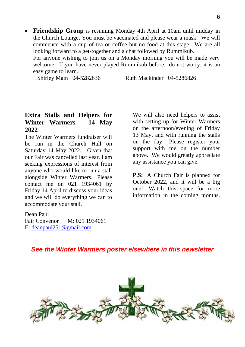• **Friendship Group** is resuming Monday 4th April at 10am until midday in the Church Lounge. You must be vaccinated and please wear a mask. We will commence with a cup of tea or coffee but no food at this stage. We are all looking forward to a get-together and a chat followed by Rummikub.

For anyone wishing to join us on a Monday morning you will be made very welcome. If you have never played Rummikub before, do not worry, it is an easy game to learn.

Shirley Main 04-5282636 Ruth Mackinder 04-5286826

#### **Extra Stalls and Helpers for Winter Warmers – 14 May 2022**

The Winter Warmers fundraiser will be run in the Church Hall on Saturday 14 May 2022. Given that our Fair was cancelled last year, I am seeking expressions of interest from anyone who would like to run a stall alongside Winter Warmers. Please contact me on 021 1934061 by Friday 14 April to discuss your ideas and we will do everything we can to accommodate your stall.

We will also need helpers to assist with setting up for Winter Warmers on the afternoon/evening of Friday 13 May, and with running the stalls on the day. Please register your support with me on the number above. We would greatly appreciate any assistance you can give.

**P.S:** A Church Fair is planned for October 2022, and it will be a big one! Watch this space for more information in the coming months.

Dean Paul Fair Convenor M: 021 1934061 E: [deanpaul251@gmail.com](mailto:deanpaul251@gmail.com)

### *See the Winter Warmers poster elsewhere in this newsletter*

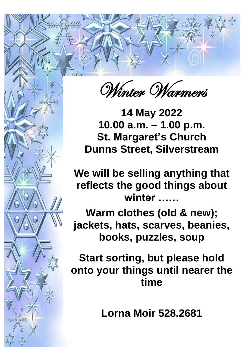Winter Warmers

14 May 2022 u ammanoo<br>Iaraarot<sup>i</sup>e Ch **1.000 a.m. – 1.000 p.m. – 1.000 p.m. –**<br>100 p.m. – P.m. – P.m. – 1.000 p.m. – 1.000 p.m. – 1.000 p.m. – 1.000 p.m. – 1.000 p.m. – 1.000 p.m. – 1.000 p<br>100 p.m. – 1.000 p.m. – 1.000 p.m. – 1.000 p.m. – 1.000 p.m. – 1.000 p **St. Margaret Church 10.00 a.m. – 1.00 p.m. St. Margaret's Church Dunns Street, Silverstream**

**Dunns Street, Silverstream PERSONAL BEET SERVING AND SERVICE SERVICE reflection the good the good the good terms about the good terms about \mathbf{r} = \mathbf{r} \cdot \mathbf{r} \cdot \mathbf{r} \cdot \mathbf{r} \cdot \mathbf{r} \cdot \mathbf{r} \cdot \mathbf{r} \cdot \mathbf{r} \cdot \mathbf{r} \cdot \mathbf{r} \cdot \mathbf{r} \cdot \mathbf{r} \cdot \mathbf{r} \cdot \mathbf{r} \cdot \mathbf{r} \cdot \mathbf{r} \cdot \mathbf{r} \cdot \mathbf{r} We will be selling anything that reflects the good things about winter ……**

Warm clothes (old & new); ward, nato, obdit voo, woding **jackets, hats, scarves, beanies, jackets, hats, scarves, beanies, books, puzzles, soup**

**Start sorting, but please hold Start Start Start South Areas** in the *south time* **onto your things until nearer the set of the set of the set of the set of the set of the set of the set of the set of the set of the set of the set of the set of the set of the set of the set of the set of the set of the onto your things until nearer the time**

**Lorna Moir 528.2681**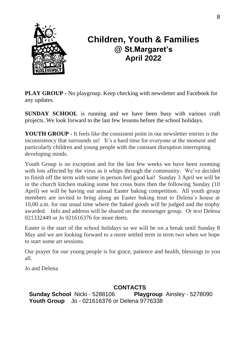

## **Children, Youth & Families @ St.Margaret's April 2022**

**PLAY GROUP -** No playgroup. Keep checking with newsletter and Facebook for any updates.

**SUNDAY SCHOOL** is running and we have been busy with various craft projects. We look forward to the last few lessons before the school holidays.

**YOUTH GROUP -** It feels like the consistent point in our newsletter entries is the inconsistency that surrounds us! It's a hard time for everyone at the moment and particularly children and young people with the constant disruption interrupting developing minds.

Youth Group is no exception and for the last few weeks we have been zooming with lots affected by the virus as it whips through the community. We've decided to finish off the term with some in person feel good kai! Sunday 3 April we will be in the church kitchen making some hot cross buns then the following Sunday (10 April) we will be having our annual Easter baking competition. All youth group members are invited to bring along an Easter baking treat to Delena's house at 10,00 a.m. for our usual time where the baked goods will be judged and the trophy awarded. Info and address will be shared on the messenger group. Or text Delena 021332449 or Jo 021616376 for more deets.

Easter is the start of the school holidays so we will be on a break until Sunday 8 May and we are looking forward to a more settled term in term two when we hope to start some art sessions.

Our prayer for our young people is for grace, patience and health, blessings to you all.

Jo and Delena

### **CONTACTS**

**Sunday School** Nicki - 5288106 **Playgroup** Ainsley - 5278090 **Youth Group** Jo - 021616376 or Delena 9776338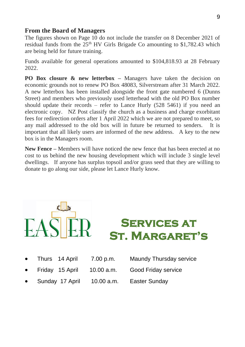#### **From the Board of Managers**

The figures shown on Page 10 do not include the transfer on 8 December 2021 of residual funds from the  $25<sup>th</sup>$  HV Girls Brigade Co amounting to \$1,782.43 which are being held for future training.

Funds available for general operations amounted to \$104,818.93 at 28 February 2022.

**PO Box closure & new letterbox –** Managers have taken the decision on economic grounds not to renew PO Box 48083, Silverstream after 31 March 2022. A new letterbox has been installed alongside the front gate numbered 6 (Dunns Street) and members who previously used letterhead with the old PO Box number should update their records – refer to Lance Hurly  $(528, 5461)$  if you need an electronic copy. NZ Post classify the church as a business and charge exorbitant fees for redirection orders after 1 April 2022 which we are not prepared to meet, so any mail addressed to the old box will in future be returned to senders. It is important that all likely users are informed of the new address. A key to the new box is in the Managers room.

**New Fence –** Members will have noticed the new fence that has been erected at no cost to us behind the new housing development which will include 3 single level dwellings. If anyone has surplus topsoil and/or grass seed that they are willing to donate to go along our side, please let Lance Hurly know.



**Services at St. Margaret's** 

| $\bullet$ | Thurs 14 April   | 7.00 p.m. | Maundy Thursday service |
|-----------|------------------|-----------|-------------------------|
| $\bullet$ | Eridov, 15 April | 10.00cm   | Cood Fridov convice     |

- Friday 15 April 10.00 a.m. Good Friday service
	- Sunday 17 April 10.00 a.m. Easter Sunday
-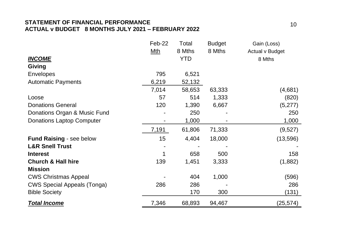#### **STATEMENT OF FINANCIAL PERFORMANCE ACTUAL v BUDGET 8 MONTHS JULY 2021 – FEBRUARY 2022**

|                                    | Feb-22 | Total      | Budget | Gain (Loss)     |
|------------------------------------|--------|------------|--------|-----------------|
|                                    | Mth    | 8 Mths     | 8 Mths | Actual v Budget |
| <b>INCOME</b>                      |        | <b>YTD</b> |        | 8 Mths          |
| Giving                             |        |            |        |                 |
| Envelopes                          | 795    | 6,521      |        |                 |
| <b>Automatic Payments</b>          | 6,219  | 52,132     |        |                 |
|                                    | 7,014  | 58,653     | 63,333 | (4,681)         |
| Loose                              | 57     | 514        | 1,333  | (820)           |
| <b>Donations General</b>           | 120    | 1,390      | 6,667  | (5,277)         |
| Donations Organ & Music Fund       |        | 250        |        | 250             |
| <b>Donations Laptop Computer</b>   |        | 1,000      |        | 1,000           |
|                                    | 7,191  | 61,806     | 71,333 | (9,527)         |
| Fund Raising - see below           | 15     | 4,404      | 18,000 | (13, 596)       |
| <b>L&amp;R Snell Trust</b>         |        |            |        |                 |
| <b>Interest</b>                    | 1      | 658        | 500    | 158             |
| <b>Church &amp; Hall hire</b>      | 139    | 1,451      | 3,333  | (1,882)         |
| <b>Mission</b>                     |        |            |        |                 |
| <b>CWS Christmas Appeal</b>        |        | 404        | 1,000  | (596)           |
| <b>CWS Special Appeals (Tonga)</b> | 286    | 286        |        | 286             |
| <b>Bible Society</b>               |        | 170        | 300    | (131)           |
| <b>Total Income</b>                | 7,346  | 68,893     | 94,467 | (25, 574)       |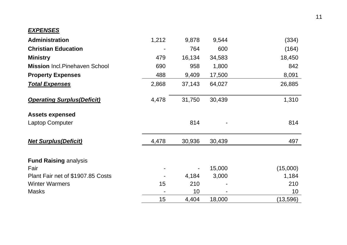#### *EXPENSES*

| Administration                        | 1,212 | 9,878  | 9,544  | (334)     |
|---------------------------------------|-------|--------|--------|-----------|
| <b>Christian Education</b>            |       | 764    | 600    | (164)     |
| <b>Ministry</b>                       | 479   | 16,134 | 34,583 | 18,450    |
| <b>Mission Incl. Pinehaven School</b> | 690   | 958    | 1,800  | 842       |
| <b>Property Expenses</b>              | 488   | 9,409  | 17,500 | 8,091     |
| <b>Total Expenses</b>                 | 2,868 | 37,143 | 64,027 | 26,885    |
| <b>Operating Surplus (Deficit)</b>    | 4,478 | 31,750 | 30,439 | 1,310     |
| <b>Assets expensed</b>                |       |        |        |           |
| Laptop Computer                       |       | 814    |        | 814       |
| <b>Net Surplus(Deficit)</b>           | 4,478 | 30,936 | 30,439 | 497       |
| <b>Fund Raising analysis</b>          |       |        |        |           |
| Fair                                  |       |        | 15,000 | (15,000)  |
| Plant Fair net of \$1907.85 Costs     |       | 4,184  | 3,000  | 1,184     |
| <b>Winter Warmers</b>                 | 15    | 210    |        | 210       |
| Masks                                 |       | 10     |        | 10        |
|                                       | 15    | 4,404  | 18,000 | (13, 596) |